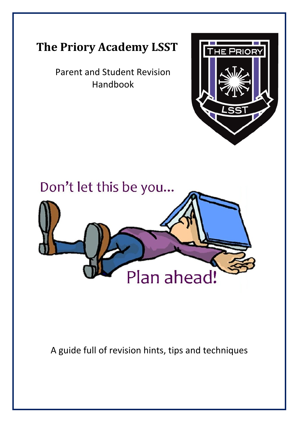

# **The Priory Academy LSST**

Parent and Student Revision Handbook



A guide full of revision hints, tips and techniques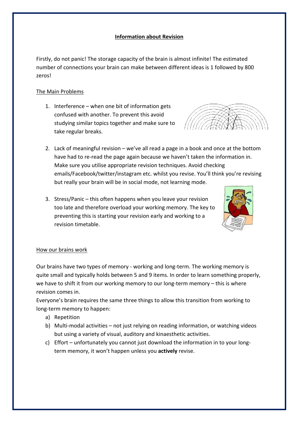# **Information about Revision**

Firstly, do not panic! The storage capacity of the brain is almost infinite! The estimated number of connections your brain can make between different ideas is 1 followed by 800 zeros! 

# The Main Problems

- 1. Interference  $-$  when one bit of information gets confused with another. To prevent this avoid studying similar topics together and make sure to take regular breaks.
- 2. Lack of meaningful revision  $-$  we've all read a page in a book and once at the bottom have had to re-read the page again because we haven't taken the information in. Make sure you utilise appropriate revision techniques. Avoid checking emails/Facebook/twitter/instagram etc. whilst you revise. You'll think you're revising but really your brain will be in social mode, not learning mode.
- 3. Stress/Panic  $-$  this often happens when you leave your revision too late and therefore overload your working memory. The key to preventing this is starting your revision early and working to a revision timetable.

# How our brains work

Our brains have two types of memory - working and long-term. The working memory is quite small and typically holds between 5 and 9 items. In order to learn something properly, we have to shift it from our working memory to our long-term memory  $-$  this is where revision comes in.

Everyone's brain requires the same three things to allow this transition from working to long-term memory to happen:

- a) Repetition
- b) Multi-modal activities not just relying on reading information, or watching videos but using a variety of visual, auditory and kinaesthetic activities.
- c) Effort unfortunately you cannot just download the information in to your longterm memory, it won't happen unless you **actively** revise.

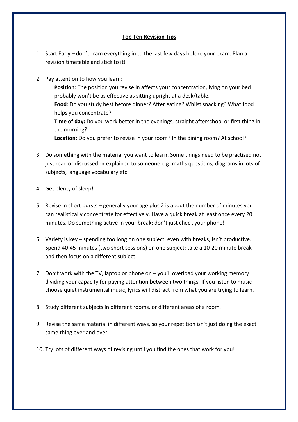# **Top Ten Revision Tips**

- 1. Start Early don't cram everything in to the last few days before your exam. Plan a revision timetable and stick to it!
- 2. Pay attention to how you learn:

**Position**: The position you revise in affects your concentration, lying on your bed probably won't be as effective as sitting upright at a desk/table. Food: Do you study best before dinner? After eating? Whilst snacking? What food helps you concentrate? **Time of day:** Do you work better in the evenings, straight afterschool or first thing in the morning? **Location:** Do you prefer to revise in your room? In the dining room? At school?

- 3. Do something with the material you want to learn. Some things need to be practised not just read or discussed or explained to someone e.g. maths questions, diagrams in lots of subjects, language vocabulary etc.
- 4. Get plenty of sleep!
- 5. Revise in short bursts  $-$  generally your age plus 2 is about the number of minutes you can realistically concentrate for effectively. Have a quick break at least once every 20 minutes. Do something active in your break; don't just check your phone!
- 6. Variety is key spending too long on one subject, even with breaks, isn't productive. Spend 40-45 minutes (two short sessions) on one subject; take a 10-20 minute break and then focus on a different subject.
- 7. Don't work with the TV, laptop or phone on  $-$  you'll overload your working memory dividing your capacity for paying attention between two things. If you listen to music choose quiet instrumental music, lyrics will distract from what you are trying to learn.
- 8. Study different subjects in different rooms, or different areas of a room.
- 9. Revise the same material in different ways, so your repetition isn't just doing the exact same thing over and over.
- 10. Try lots of different ways of revising until you find the ones that work for you!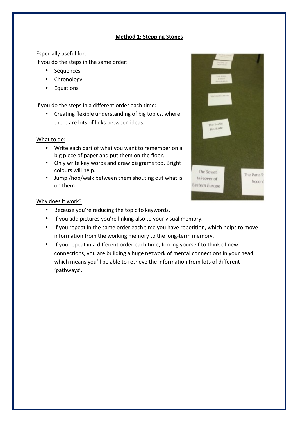# **Method 1: Stepping Stones**

# Especially useful for:

If you do the steps in the same order:

- Sequences
- Chronology
- Equations

If you do the steps in a different order each time:

• Creating flexible understanding of big topics, where there are lots of links between ideas.

#### What to do:

- Write each part of what you want to remember on a big piece of paper and put them on the floor.
- Only write key words and draw diagrams too. Bright colours will help.
- Jump /hop/walk between them shouting out what is on them.



# Why does it work?

- Because you're reducing the topic to keywords.
- If you add pictures you're linking also to your visual memory.
- If you repeat in the same order each time you have repetition, which helps to move information from the working memory to the long-term memory.
- If you repeat in a different order each time, forcing yourself to think of new connections, you are building a huge network of mental connections in your head, which means you'll be able to retrieve the information from lots of different 'pathways'.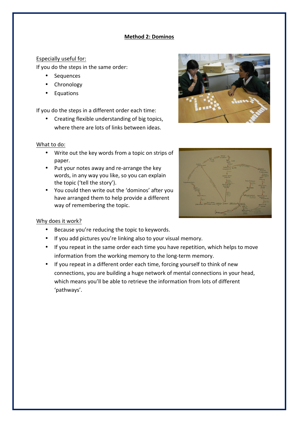# **Method 2: Dominos**

# Especially useful for:

If you do the steps in the same order:

- Sequences
- **Chronology**
- **Equations**

If you do the steps in a different order each time:

• Creating flexible understanding of big topics, where there are lots of links between ideas.

#### What to do:

- Write out the key words from a topic on strips of paper.
- Put your notes away and re-arrange the key words, in any way you like, so you can explain the topic ('tell the story').
- You could then write out the 'dominos' after you have arranged them to help provide a different way of remembering the topic.

#### Why does it work?

- Because you're reducing the topic to keywords.
- If you add pictures you're linking also to your visual memory.
- If you repeat in the same order each time you have repetition, which helps to move information from the working memory to the long-term memory.
- If you repeat in a different order each time, forcing yourself to think of new connections, you are building a huge network of mental connections in your head, which means you'll be able to retrieve the information from lots of different 'pathways'.



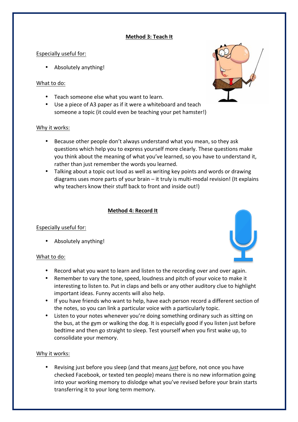# **Method 3: Teach It**

# Especially useful for:

• Absolutely anything!

# What to do:

- Teach someone else what you want to learn.
- Use a piece of A3 paper as if it were a whiteboard and teach someone a topic (it could even be teaching your pet hamster!)

#### Why it works:

- Because other people don't always understand what you mean, so they ask questions which help you to express yourself more clearly. These questions make you think about the meaning of what you've learned, so you have to understand it, rather than just remember the words you learned.
- Talking about a topic out loud as well as writing key points and words or drawing diagrams uses more parts of your brain  $-$  it truly is multi-modal revision! (It explains why teachers know their stuff back to front and inside out!)

# **Method 4: Record It**

# Especially useful for:

• Absolutely anything!

#### What to do:

- Record what you want to learn and listen to the recording over and over again.
- Remember to vary the tone, speed, loudness and pitch of your voice to make it interesting to listen to. Put in claps and bells or any other auditory clue to highlight important ideas. Funny accents will also help.
- If you have friends who want to help, have each person record a different section of the notes, so you can link a particular voice with a particularly topic.
- Listen to your notes whenever you're doing something ordinary such as sitting on the bus, at the gym or walking the dog. It is especially good if you listen just before bedtime and then go straight to sleep. Test yourself when you first wake up, to consolidate your memory.

#### Why it works:

Revising just before you sleep (and that means *just* before, not once you have checked Facebook, or texted ten people) means there is no new information going into your working memory to dislodge what you've revised before your brain starts transferring it to your long term memory.



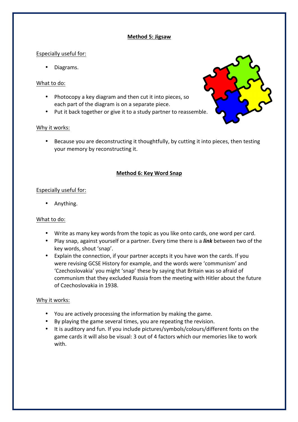# **Method 5: Jigsaw**

# Especially useful for:

• Diagrams.

#### What to do:

- Photocopy a key diagram and then cut it into pieces, so each part of the diagram is on a separate piece.
- Put it back together or give it to a study partner to reassemble.

# Why it works:

• Because you are deconstructing it thoughtfully, by cutting it into pieces, then testing your memory by reconstructing it.

# **Method 6: Key Word Snap**

# Especially useful for:

• Anything.

#### What to do:

- Write as many key words from the topic as you like onto cards, one word per card.
- Play snap, against yourself or a partner. Every time there is a *link* between two of the key words, shout 'snap'.
- Explain the connection, if your partner accepts it you have won the cards. If you were revising GCSE History for example, and the words were 'communism' and 'Czechoslovakia' you might 'snap' these by saying that Britain was so afraid of communism that they excluded Russia from the meeting with Hitler about the future of Czechoslovakia in 1938.

- You are actively processing the information by making the game.
- By playing the game several times, you are repeating the revision.
- It is auditory and fun. If you include pictures/symbols/colours/different fonts on the game cards it will also be visual: 3 out of 4 factors which our memories like to work with.

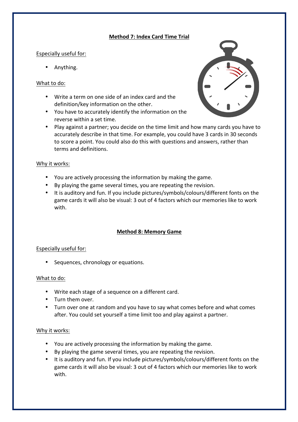# **Method 7: Index Card Time Trial**

# Especially useful for:

• Anything.

# What to do:

- Write a term on one side of an index card and the definition/key information on the other.
- You have to accurately identify the information on the reverse within a set time.



• Play against a partner; you decide on the time limit and how many cards you have to accurately describe in that time. For example, you could have 3 cards in 30 seconds to score a point. You could also do this with questions and answers, rather than terms and definitions.

#### Why it works:

- You are actively processing the information by making the game.
- By playing the game several times, you are repeating the revision.
- It is auditory and fun. If you include pictures/symbols/colours/different fonts on the game cards it will also be visual: 3 out of 4 factors which our memories like to work with.

# **Method 8: Memory Game**

# Especially useful for:

• Sequences, chronology or equations.

#### What to do:

- Write each stage of a sequence on a different card.
- Turn them over.
- Turn over one at random and you have to say what comes before and what comes after. You could set yourself a time limit too and play against a partner.

- You are actively processing the information by making the game.
- By playing the game several times, you are repeating the revision.
- It is auditory and fun. If you include pictures/symbols/colours/different fonts on the game cards it will also be visual: 3 out of 4 factors which our memories like to work with.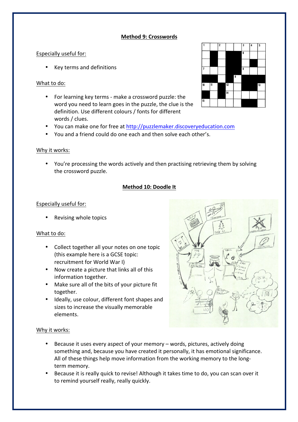# **Method 9: Crosswords**

# Especially useful for:

• Key terms and definitions

# What to do:

- For learning key terms make a crossword puzzle: the word you need to learn goes in the puzzle, the clue is the definition. Use different colours / fonts for different words / clues.
- You can make one for free at http://puzzlemaker.discoveryeducation.com
- You and a friend could do one each and then solve each other's.

# Why it works:

• You're processing the words actively and then practising retrieving them by solving the crossword puzzle.

# **Method 10: Doodle It**

# Especially useful for:

Revising whole topics

#### What to do:

- Collect together all your notes on one topic (this example here is a GCSE topic: recruitment for World War I)
- Now create a picture that links all of this information together.
- Make sure all of the bits of your picture fit together.
- Ideally, use colour, different font shapes and sizes to increase the visually memorable elements.



- Because it uses every aspect of your memory words, pictures, actively doing something and, because you have created it personally, it has emotional significance. All of these things help move information from the working memory to the longterm memory.
- Because it is really quick to revise! Although it takes time to do, you can scan over it to remind yourself really, really quickly.

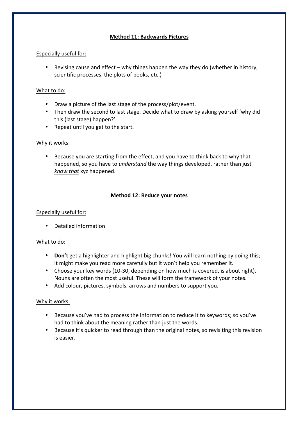# **Method 11: Backwards Pictures**

# Especially useful for:

• Revising cause and effect  $-$  why things happen the way they do (whether in history, scientific processes, the plots of books, etc.)

# What to do:

- Draw a picture of the last stage of the process/plot/event.
- Then draw the second to last stage. Decide what to draw by asking yourself 'why did this (last stage) happen?'
- Repeat until you get to the start.

# Why it works:

• Because you are starting from the effect, and you have to think back to why that happened, so you have to *understand* the way things developed, rather than just *know that* xyz happened. 

# **Method 12: Reduce your notes**

# Especially useful for:

• Detailed information

#### What to do:

- **Don't** get a highlighter and highlight big chunks! You will learn nothing by doing this; it might make you read more carefully but it won't help you remember it.
- Choose your key words (10-30, depending on how much is covered, is about right). Nouns are often the most useful. These will form the framework of your notes.
- Add colour, pictures, symbols, arrows and numbers to support you.

- Because you've had to process the information to reduce it to keywords; so you've had to think about the meaning rather than just the words.
- Because it's quicker to read through than the original notes, so revisiting this revision is easier.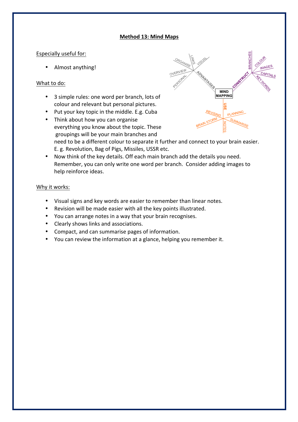#### **Method 13: Mind Maps c. Now the details you need the key details. Of the details you need the details of the details of the details. Of the details you need to detail and the details. All of the details you need to deta Remember on the one with one with one word per branch.**

b. Think about how you can organise everything you know about the topic. These groupings will be your main branches and need to be a different colour to separate it further and connect to your brain easier. E.g. Revolution, Bag of Pigs, Missiles,

> **MIND IAPPINO**

> > **DI ANN**

**ROANCHES** 

**MAGES** CAPITALS

#### Especially useful for:

• Almost anything!

# What to do:

- 3 simple rules: one word per branch, lots of colour and relevant but personal pictures.
- Put your key topic in the middle. E.g. Cuba
- Think about how you can organise everything you know about the topic. These groupings will be your main branches and need to be a different colour to separate it further and connect to your brain easier. E. g. Revolution, Bag of Pigs, Missiles, USSR etc.
- Now think of the key details. Off each main branch add the details you need. Remember, you can only write one word per branch. Consider adding images to help reinforce ideas.

- Visual signs and key words are easier to remember than linear notes.
- Revision will be made easier with all the key points illustrated.
- You can arrange notes in a way that your brain recognises.
- Clearly shows links and associations.
- Compact, and can summarise pages of information.
- You can review the information at a glance, helping you remember it.